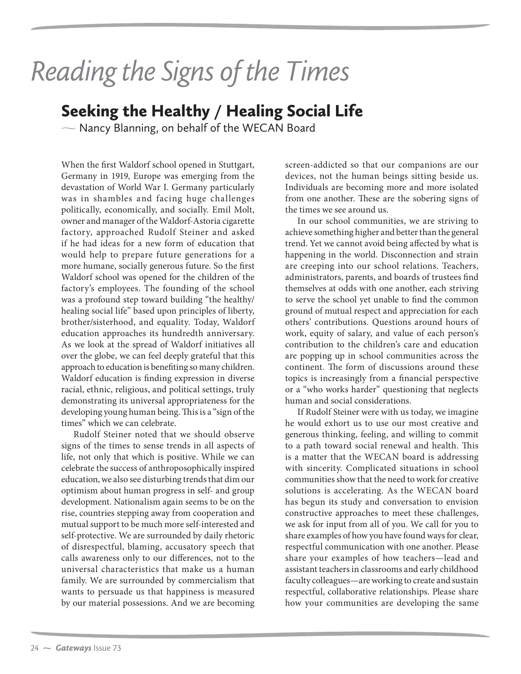## Reading the Signs of the Times

- Nancy Blanning, on behalf of the WECAN Board

When the first Waldorf school opened in Stuttgart, Germany in 1919, Europe was emerging from the devastation of World War I. Germany particularly was in shambles and facing huge challenges politically, economically, and socially. Emil Molt, owner and manager of the Waldorf-Astoria cigarette factory, approached Rudolf Steiner and asked if he had ideas for a new form of education that would help to prepare future generations for a more humane, socially generous future. So the first Waldorf school was opened for the children of the factory's employees. The founding of the school was a profound step toward building "the healthy/ healing social life" based upon principles of liberty, brother/sisterhood, and equality. Today, Waldorf education approaches its hundredth anniversary. As we look at the spread of Waldorf initiatives all over the globe, we can feel deeply grateful that this approach to education is benefiting so many children. Waldorf education is finding expression in diverse racial, ethnic, religious, and political settings, truly demonstrating its universal appropriateness for the developing young human being. This is a "sign of the times" which we can celebrate.

Rudolf Steiner noted that we should observe signs of the times to sense trends in all aspects of life, not only that which is positive. While we can celebrate the success of anthroposophically inspired education, we also see disturbing trends that dim our optimism about human progress in self- and group development. Nationalism again seems to be on the rise, countries stepping away from cooperation and mutual support to be much more self-interested and self-protective. We are surrounded by daily rhetoric of disrespectful, blaming, accusatory speech that calls awareness only to our differences, not to the universal characteristics that make us a human family. We are surrounded by commercialism that wants to persuade us that happiness is measured by our material possessions. And we are becoming

screen-addicted so that our companions are our devices, not the human beings sitting beside us. Individuals are becoming more and more isolated from one another. These are the sobering signs of the times we see around us.

In our school communities, we are striving to achieve something higher and better than the general trend. Yet we cannot avoid being affected by what is happening in the world. Disconnection and strain are creeping into our school relations. Teachers, administrators, parents, and boards of trustees find themselves at odds with one another, each striving to serve the school yet unable to find the common ground of mutual respect and appreciation for each others' contributions. Questions around hours of work, equity of salary, and value of each person's contribution to the children's care and education are popping up in school communities across the continent. The form of discussions around these topics is increasingly from a financial perspective or a "who works harder" questioning that neglects human and social considerations.

If Rudolf Steiner were with us today, we imagine he would exhort us to use our most creative and generous thinking, feeling, and willing to commit to a path toward social renewal and health. This is a matter that the WECAN board is addressing with sincerity. Complicated situations in school communities show that the need to work for creative solutions is accelerating. As the WECAN board has begun its study and conversation to envision constructive approaches to meet these challenges, we ask for input from all of you. We call for you to share examples of how you have found ways for clear, respectful communication with one another. Please share your examples of how teachers—lead and assistant teachers in classrooms and early childhood faculty colleagues—are working to create and sustain respectful, collaborative relationships. Please share how your communities are developing the same